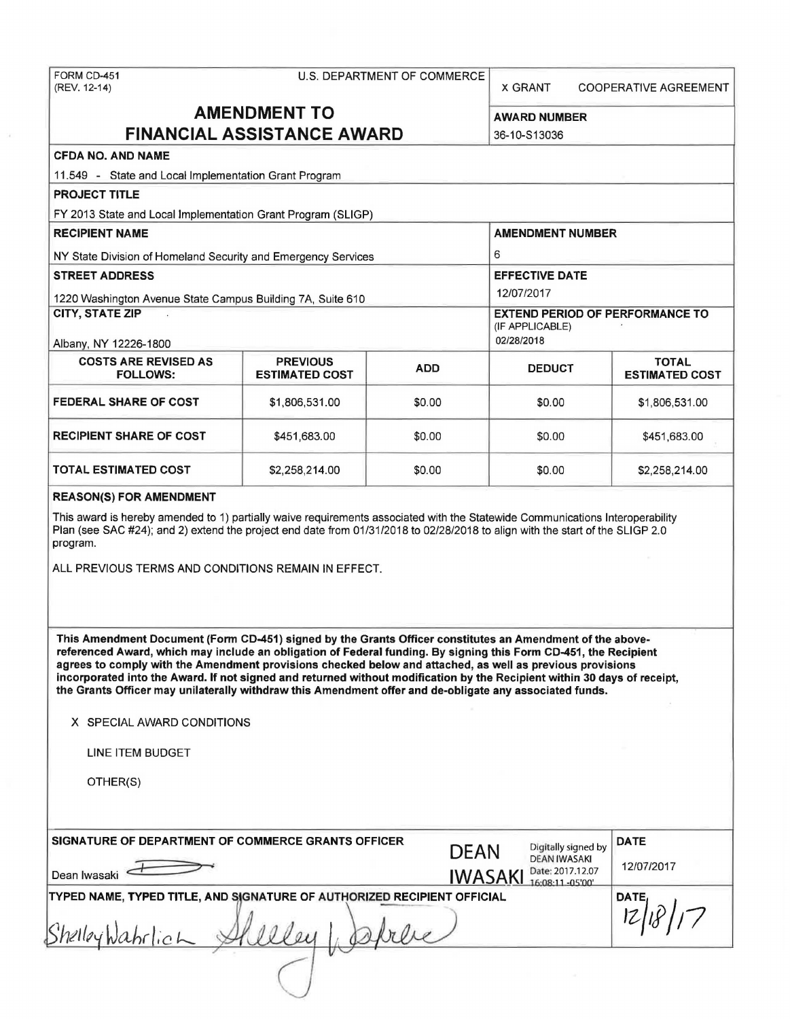# FORM CD-451 U.S. DEPARTMENT OF COMMERCE<br>(REV. 12-14)

X GRANT COOPERATIVE AGREEMENT

## **AMENDMENT TO** AWARD NUMBER **FINANCIAL ASSISTANCE AWARD** 36-10-S13036

### **CFDA NO. AND NAME**

11.549 - State and Local Implementation Grant Program

**PROJECT TITLE** 

FY 2013 State and Local Implementation Grant Program (SLIGP)

| <b>RECIPIENT NAME</b>                                         | <b>AMENDMENT NUMBER</b>                  |                                                                         |               |                                       |
|---------------------------------------------------------------|------------------------------------------|-------------------------------------------------------------------------|---------------|---------------------------------------|
| NY State Division of Homeland Security and Emergency Services | 6                                        |                                                                         |               |                                       |
| <b>STREET ADDRESS</b>                                         | <b>EFFECTIVE DATE</b>                    |                                                                         |               |                                       |
| 1220 Washington Avenue State Campus Building 7A, Suite 610    | 12/07/2017                               |                                                                         |               |                                       |
| <b>CITY, STATE ZIP</b><br>Albany, NY 12226-1800               |                                          | <b>EXTEND PERIOD OF PERFORMANCE TO</b><br>(IF APPLICABLE)<br>02/28/2018 |               |                                       |
| <b>COSTS ARE REVISED AS</b><br><b>FOLLOWS:</b>                | <b>PREVIOUS</b><br><b>ESTIMATED COST</b> | <b>ADD</b>                                                              | <b>DEDUCT</b> | <b>TOTAL</b><br><b>ESTIMATED COST</b> |
| <b>FEDERAL SHARE OF COST</b>                                  | \$1,806,531.00                           | \$0.00                                                                  | \$0.00        | \$1,806,531.00                        |
| <b>RECIPIENT SHARE OF COST</b>                                | \$451,683.00                             | \$0.00                                                                  | \$0.00        | \$451,683.00                          |
|                                                               |                                          |                                                                         |               |                                       |

#### **REASON(S) FOR AMENDMENT**

This award is hereby amended to 1) partially waive requirements associated with the Statewide Communications Interoperability Plan (see SAC #24); and 2) extend the project end date from 01/31/2018 to 02/28/2018 to align with the start of the SLIGP 2.0 program.

**TOTAL ESTIMATED COST**  $$2,258,214.00$  $$0.00$  $$0.00$  $$2,258,214.00$ 

ALL PREVIOUS TERMS AND CONDITIONS REMAIN IN EFFECT.

**This Amendment Document (Fonn CD-451) signed by the Grants Officer constitutes an Amendment of the abovereferenced Award, which may include an obligation of Federal funding. By signing this Form CD-451, the Recipient**  agrees to comply with the Amendment provisions checked below and attached, as well as previous provisions **incorporated into the Award. If not signed and returned without modification by the Recipient within 30 days of receipt, the Grants Officer may unilaterally withdraw this Amendment offer and de-obligate any associated funds.** 

**X** SPECIAL AWARD CONDITIONS

LINE ITEM BUDGET

OTHER(S)

| SIGNATURE OF DEPARTMENT OF COMMERCE GRANTS OFFICER<br>Dean Iwasaki                         | <b>DEAN</b><br><b>IWASAKI</b> | Digitally signed by<br><b>DEAN IWASAKI</b><br>Date: 2017.12.07<br>16:08:11 -05'00' | <b>DATE</b><br>12/07/2017 |
|--------------------------------------------------------------------------------------------|-------------------------------|------------------------------------------------------------------------------------|---------------------------|
| TYPED NAME, TYPED TITLE, AND SIGNATURE OF AUTHORIZED RECIPIENT OFFICIAL<br>ShelleyWahrlich |                               |                                                                                    | DATE,                     |
|                                                                                            |                               |                                                                                    |                           |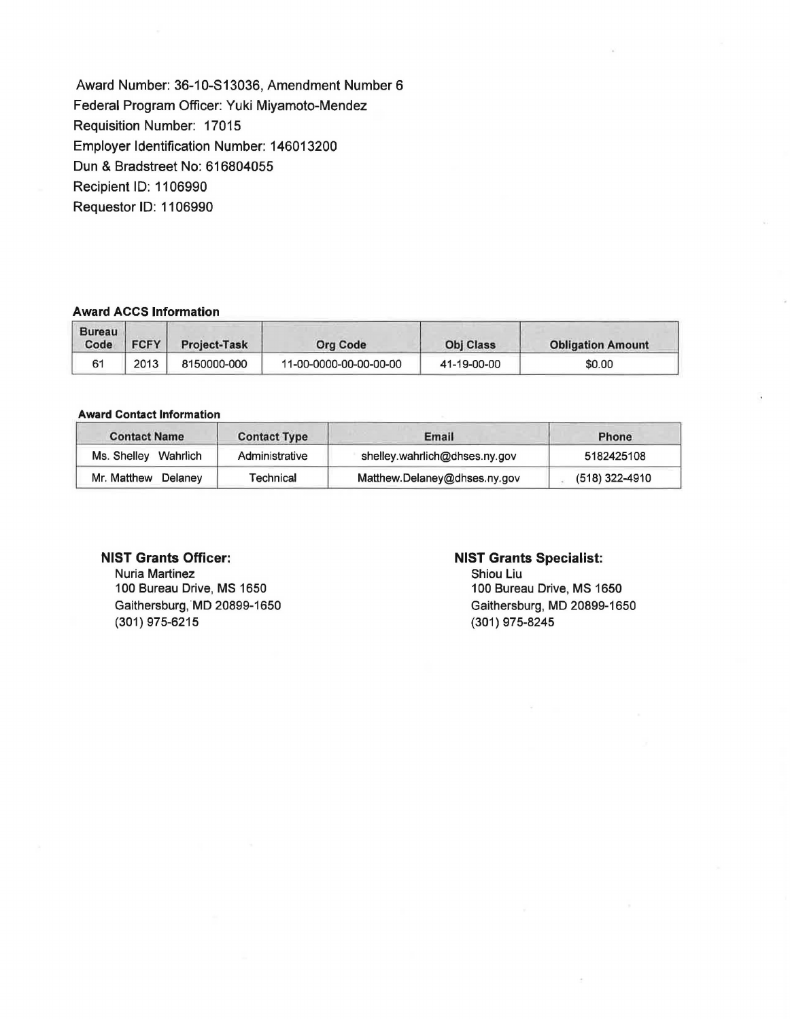Award Number: 36-10-S13036, Amendment Number 6 Federal Program Officer: Yuki Miyamoto-Mendez Requisition Number: 17015 Employer Identification Number: 146013200 Dun & Bradstreet No: 616804055 Recipient ID: 1106990 Requestor ID: 1106990

#### **Award ACCS Information**

| <b>Bureau</b><br>Code | <b>FCFY</b> | Project-Task | Org Code               | <b>Obj Class</b> | <b>Obligation Amount</b> |
|-----------------------|-------------|--------------|------------------------|------------------|--------------------------|
|                       | 2013        | 8150000-000  | 11-00-0000-00-00-00-00 | 41-19-00-00      | \$0.00                   |

#### **Award Contact Information**

| <b>Contact Name</b>  | <b>Contact Type</b> | Email                         | Phone          |
|----------------------|---------------------|-------------------------------|----------------|
| Ms. Shelley Wahrlich | Administrative      | shelley.wahrlich@dhses.ny.gov | 5182425108     |
| Mr. Matthew Delaney  | Technical           | Matthew.Delaney@dhses.ny.gov  | (518) 322-4910 |

#### **NIST Grants Officer:**

Nuria Martinez 100 Bureau Drive, MS 1650 Gaithersburg, MD 20899-1650 (301) 975-6215

#### **NIST Grants Specialist:**

Shiou Liu 100 Bureau Drive, MS 1650 Gaithersburg, MD 20899-1650 (301) 975-8245